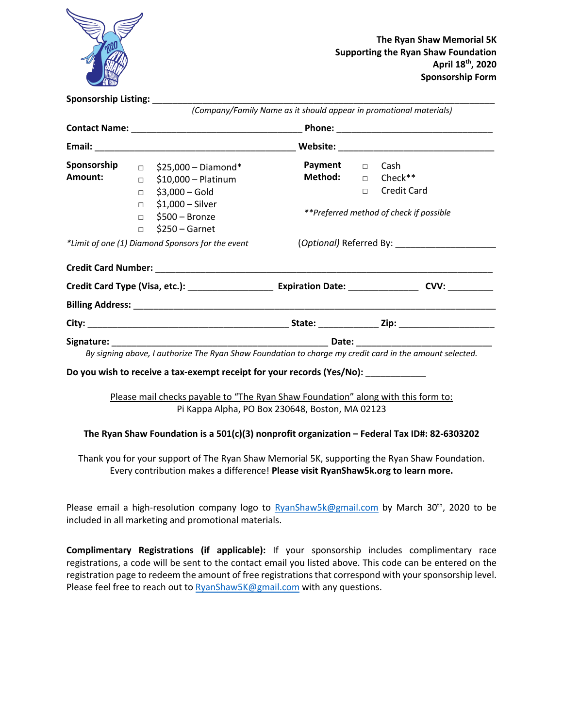

| Sponsorship Listing: _________                   |  |                                                                                                               |                                                                    |  |  |
|--------------------------------------------------|--|---------------------------------------------------------------------------------------------------------------|--------------------------------------------------------------------|--|--|
|                                                  |  |                                                                                                               | (Company/Family Name as it should appear in promotional materials) |  |  |
|                                                  |  |                                                                                                               |                                                                    |  |  |
|                                                  |  |                                                                                                               |                                                                    |  |  |
| *Limit of one (1) Diamond Sponsors for the event |  | (Optional) Referred By: Contract Control of Australian Control of Australian Control of Australian Control of |                                                                    |  |  |
|                                                  |  |                                                                                                               |                                                                    |  |  |
|                                                  |  |                                                                                                               |                                                                    |  |  |
|                                                  |  |                                                                                                               |                                                                    |  |  |
|                                                  |  |                                                                                                               |                                                                    |  |  |
|                                                  |  |                                                                                                               |                                                                    |  |  |
|                                                  |  | By signing above, I authorize The Ryan Shaw Foundation to charge my credit card in the amount selected.       |                                                                    |  |  |
|                                                  |  | Do you wish to receive a tax-exempt receipt for your records (Yes/No):                                        |                                                                    |  |  |
|                                                  |  | Please mail checks payable to "The Ryan Shaw Foundation" along with this form to:                             |                                                                    |  |  |
|                                                  |  | Pi Kappa Alpha, PO Box 230648, Boston, MA 02123                                                               |                                                                    |  |  |

#### **The Ryan Shaw Foundation is a 501(c)(3) nonprofit organization – Federal Tax ID#: 82-6303202**

Thank you for your support of The Ryan Shaw Memorial 5K, supporting the Ryan Shaw Foundation. Every contribution makes a difference! **Please visit RyanShaw5k.org to learn more.**

Please email a high-resolution company logo to  $RyanShaw5k@gmail.com$  by March 30<sup>th</sup>, 2020 to be included in all marketing and promotional materials.

**Complimentary Registrations (if applicable):** If your sponsorship includes complimentary race registrations, a code will be sent to the contact email you listed above. This code can be entered on the registration page to redeem the amount of free registrations that correspond with your sponsorship level. Please feel free to reach out to RyanShaw5K@gmail.com with any questions.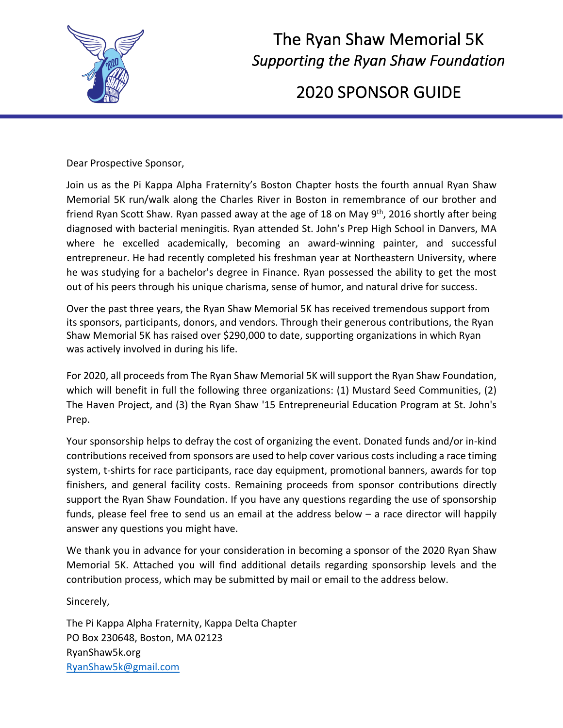

# The Ryan Shaw Memorial 5K <sup>2</sup> *Supporting the Ryan Shaw Foundation*

2020 SPONSOR GUIDE

Dear Prospective Sponsor,

Join us as the Pi Kappa Alpha Fraternity's Boston Chapter hosts the fourth annual Ryan Shaw Memorial 5K run/walk along the Charles River in Boston in remembrance of our brother and friend Ryan Scott Shaw. Ryan passed away at the age of 18 on May 9<sup>th</sup>, 2016 shortly after being diagnosed with bacterial meningitis. Ryan attended St. John's Prep High School in Danvers, MA where he excelled academically, becoming an award-winning painter, and successful entrepreneur. He had recently completed his freshman year at Northeastern University, where he was studying for a bachelor's degree in Finance. Ryan possessed the ability to get the most out of his peers through his unique charisma, sense of humor, and natural drive for success.

Over the past three years, the Ryan Shaw Memorial 5K has received tremendous support from its sponsors, participants, donors, and vendors. Through their generous contributions, the Ryan Shaw Memorial 5K has raised over \$290,000 to date, supporting organizations in which Ryan was actively involved in during his life.

For 2020, all proceeds from The Ryan Shaw Memorial 5K will support the Ryan Shaw Foundation, which will benefit in full the following three organizations: (1) Mustard Seed Communities, (2) The Haven Project, and (3) the Ryan Shaw '15 Entrepreneurial Education Program at St. John's Prep.

Your sponsorship helps to defray the cost of organizing the event. Donated funds and/or in-kind contributions received from sponsors are used to help cover various costs including a race timing system, t-shirts for race participants, race day equipment, promotional banners, awards for top finishers, and general facility costs. Remaining proceeds from sponsor contributions directly support the Ryan Shaw Foundation. If you have any questions regarding the use of sponsorship funds, please feel free to send us an email at the address below – a race director will happily answer any questions you might have.

We thank you in advance for your consideration in becoming a sponsor of the 2020 Ryan Shaw Memorial 5K. Attached you will find additional details regarding sponsorship levels and the contribution process, which may be submitted by mail or email to the address below.

Sincerely,

The Pi Kappa Alpha Fraternity, Kappa Delta Chapter PO Box 230648, Boston, MA 02123 RyanShaw5k.org RyanShaw5k@gmail.com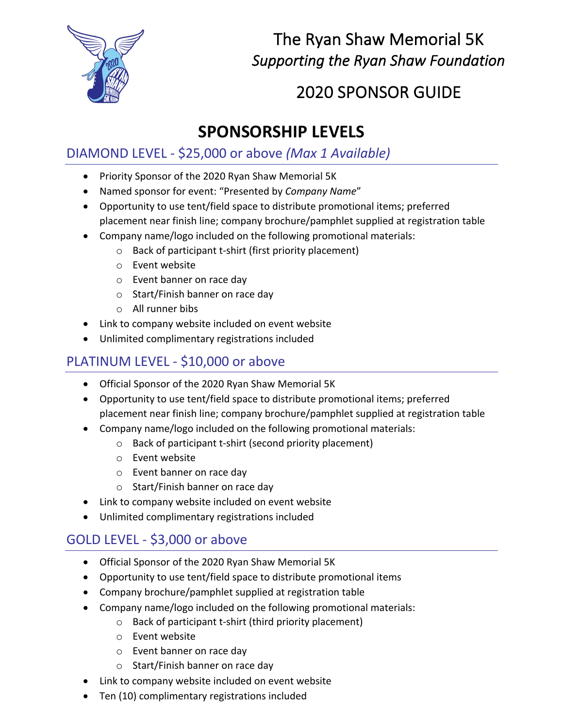

### The Ryan Shaw Memorial 5K *Supporting the Ryan Shaw Foundation*

## 2020 SPONSOR GUIDE

### **SPONSORSHIP LEVELS**

#### DIAMOND LEVEL - \$25,000 or above *(Max 1 Available)*

- Priority Sponsor of the 2020 Ryan Shaw Memorial 5K
- Named sponsor for event: "Presented by *Company Name*"
- Opportunity to use tent/field space to distribute promotional items; preferred placement near finish line; company brochure/pamphlet supplied at registration table
- Company name/logo included on the following promotional materials:
	- o Back of participant t-shirt (first priority placement)
	- o Event website
	- o Event banner on race day
	- o Start/Finish banner on race day
	- o All runner bibs
- Link to company website included on event website
- Unlimited complimentary registrations included

#### PLATINUM LEVEL - \$10,000 or above

- Official Sponsor of the 2020 Ryan Shaw Memorial 5K
- Opportunity to use tent/field space to distribute promotional items; preferred placement near finish line; company brochure/pamphlet supplied at registration table
- Company name/logo included on the following promotional materials:
	- o Back of participant t-shirt (second priority placement)
	- o Event website
	- o Event banner on race day
	- o Start/Finish banner on race day
- Link to company website included on event website
- Unlimited complimentary registrations included

#### GOLD LEVEL - \$3,000 or above

- Official Sponsor of the 2020 Ryan Shaw Memorial 5K
- Opportunity to use tent/field space to distribute promotional items
- Company brochure/pamphlet supplied at registration table
- Company name/logo included on the following promotional materials:
	- o Back of participant t-shirt (third priority placement)
	- o Event website
	- o Event banner on race day
	- o Start/Finish banner on race day
- Link to company website included on event website
- Ten (10) complimentary registrations included